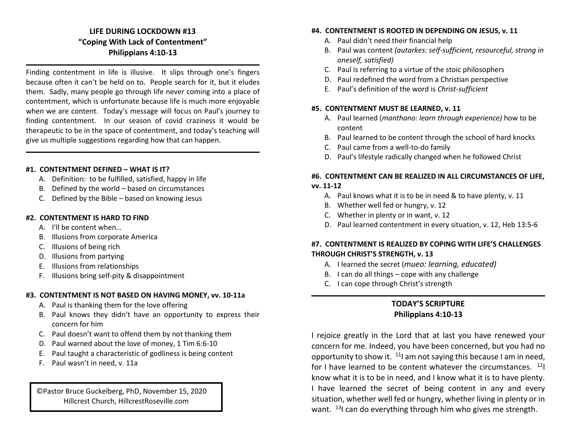### **LIFE DURING LOCKDOWN #13 "Coping With Lack of Contentment" Philippians 4:10-13**

Finding contentment in life is illusive. It slips through one's fingers because often it can't be held on to. People search for it, but it eludes them. Sadly, many people go through life never coming into a place of contentment, which is unfortunate because life is much more enjoyable when we are content. Today's message will focus on Paul's journey to finding contentment. In our season of covid craziness it would be therapeutic to be in the space of contentment, and today's teaching will give us multiple suggestions regarding how that can happen.

#### **#1. CONTENTMENT DEFINED – WHAT IS IT?**

- A. Definition: to be fulfilled, satisfied, happy in life
- B. Defined by the world based on circumstances
- C. Defined by the Bible based on knowing Jesus

#### **#2. CONTENTMENT IS HARD TO FIND**

- A. I'll be content when…
- B. Illusions from corporate America
- C. Illusions of being rich
- D. Illusions from partying
- E. Illusions from relationships
- F. Illusions bring self-pity & disappointment

#### **#3. CONTENTMENT IS NOT BASED ON HAVING MONEY, vv. 10-11a**

- A. Paul is thanking them for the love offering
- B. Paul knows they didn't have an opportunity to express their concern for him
- C. Paul doesn't want to offend them by not thanking them
- D. Paul warned about the love of money, 1 Tim 6:6-10
- E. Paul taught a characteristic of godliness is being content
- F. Paul wasn't in need, v. 11a

©Pastor Bruce Guckelberg, PhD, November 15, 2020 Hillcrest Church, HillcrestRoseville.com

#### **#4. CONTENTMENT IS ROOTED IN DEPENDING ON JESUS, v. 11**

- A. Paul didn't need their financial help
- B. Paul was content *(autarkes: self-sufficient, resourceful, strong in oneself, satisfied)*
- C. Paul is referring to a virtue of the stoic philosophers
- D. Paul redefined the word from a Christian perspective
- E. Paul's definition of the word is *Christ-sufficient*

#### **#5. CONTENTMENT MUST BE LEARNED, v. 11**

- A. Paul learned (*manthano: learn through experience)* how to be content
- B. Paul learned to be content through the school of hard knocks
- C. Paul came from a well-to-do family
- D. Paul's lifestyle radically changed when he followed Christ

### **#6. CONTENTMENT CAN BE REALIZED IN ALL CIRCUMSTANCES OF LIFE, vv. 11-12**

- A. Paul knows what it is to be in need & to have plenty, v. 11
- B. Whether well fed or hungry, v. 12
- C. Whether in plenty or in want, v. 12
- D. Paul learned contentment in every situation, v. 12, Heb 13:5-6

### **#7. CONTENTMENT IS REALIZED BY COPING WITH LIFE'S CHALLENGES THROUGH CHRIST'S STRENGTH, v. 13**

- A. I learned the secret (*mueo: learning, educated)*
- B. I can do all things cope with any challenge
- C. I can cope through Christ's strength

### **TODAY'S SCRIPTURE Philippians 4:10-13**

I rejoice greatly in the Lord that at last you have renewed your concern for me. Indeed, you have been concerned, but you had no opportunity to show it.  $11$  am not saying this because I am in need, for I have learned to be content whatever the circumstances.  $12$ I know what it is to be in need, and I know what it is to have plenty. I have learned the secret of being content in any and every situation, whether well fed or hungry, whether living in plenty or in want. <sup>13</sup> can do everything through him who gives me strength.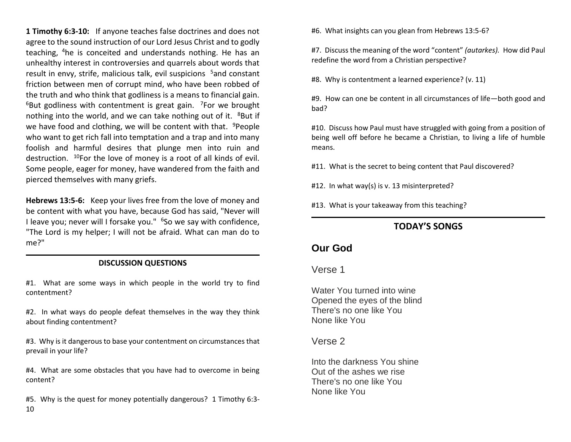**1 Timothy 6:3-10:** If anyone teaches false doctrines and does not agree to the sound instruction of our Lord Jesus Christ and to godly teaching, <sup>4</sup>he is conceited and understands nothing. He has an unhealthy interest in controversies and quarrels about words that result in envy, strife, malicious talk, evil suspicions <sup>5</sup>and constant friction between men of corrupt mind, who have been robbed of the truth and who think that godliness is a means to financial gain.  $6B$ ut godliness with contentment is great gain. <sup>7</sup>For we brought nothing into the world, and we can take nothing out of it. <sup>8</sup>But if we have food and clothing, we will be content with that. <sup>9</sup>People who want to get rich fall into temptation and a trap and into many foolish and harmful desires that plunge men into ruin and destruction. <sup>10</sup>For the love of money is a root of all kinds of evil. Some people, eager for money, have wandered from the faith and pierced themselves with many griefs.

**Hebrews 13:5-6:** Keep your lives free from the love of money and be content with what you have, because God has said, "Never will I leave you; never will I forsake you."  $650$  we say with confidence, "The Lord is my helper; I will not be afraid. What can man do to me?"

#### **DISCUSSION QUESTIONS**

#1. What are some ways in which people in the world try to find contentment?

#2. In what ways do people defeat themselves in the way they think about finding contentment?

#3. Why is it dangerous to base your contentment on circumstances that prevail in your life?

#4. What are some obstacles that you have had to overcome in being content?

#5. Why is the quest for money potentially dangerous? 1 Timothy 6:3- 10

#6. What insights can you glean from Hebrews 13:5-6?

#7. Discuss the meaning of the word "content" *(autarkes).* How did Paul redefine the word from a Christian perspective?

#8. Why is contentment a learned experience? (v. 11)

#9. How can one be content in all circumstances of life—both good and bad?

#10. Discuss how Paul must have struggled with going from a position of being well off before he became a Christian, to living a life of humble means.

#11. What is the secret to being content that Paul discovered?

#12. In what way(s) is v. 13 misinterpreted?

#13. What is your takeaway from this teaching?

### **TODAY'S SONGS**

# **Our God**

Verse 1

Water You turned into wine Opened the eyes of the blind There's no one like You None like You

Verse 2

Into the darkness You shine Out of the ashes we rise There's no one like You None like You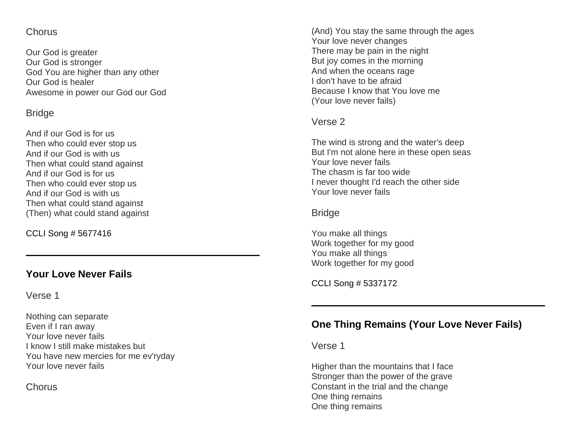## Chorus

Our God is greater Our God is stronger God You are higher than any other Our God is healer Awesome in power our God our God

## **Bridge**

And if our God is for us Then who could ever stop us And if our God is with u s Then what could stand against And if our God is for us Then who could ever stop us And if our God is with us Then what could stand against (Then) what could stand against

CCLI Song # 5677416

# **Your Love Never Fails**

Verse 1

Nothing can separat e Even if I ran awa y Your love never fail s I know I still make mistakes bu t You have new mercies for me ev'ryda y Your love never fails

**Chorus** 

(And) You stay the same through the age s Your love never changes There may be pain in the nigh t But joy comes in the mornin g And when the oceans rag e I don't have to be afrai d Because I know that You love m e (Your love never fails)

## Verse 2

The wind is strong and the water's dee p But I'm not alone here in these open sea s Your love never fail s The chasm is far too wid e I never thought I'd reach the other sid e Your love never fail s

## **Bridge**

You make all thing s Work together for my goo d You make all thing s Work together for my good

CCLI Song # 5337172

# **One Thing Remains (Your Love Never Fails)**

Verse 1

Higher than the mountains that I fac e Stronger than the power of the grav e Constant in the trial and the chang e One thing remain s One thing remains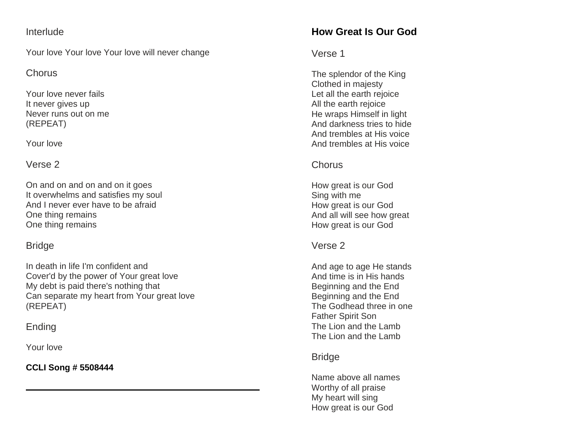## Interlude

Your love Your love Your love will never change

**Chorus** 

Your love never fails It never gives up Never runs out on me (REPEAT)

Your love

Verse 2

On and on and on and on it goes It overwhelms and satisfies my soul And I never ever have to be afraid One thing remains One thing remains

# **Bridge**

In death in life I'm confident and Cover'd by the power of Your great love My debt is paid there's nothing that Can separate my heart from Your great love (REPEAT)

Ending

Your love

## **CCLI Song # 5508444**

# **How Great Is Our God**

Verse 1

The splendor of the King Clothed in majesty Let all the earth rejoice All the earth rejoice He wraps Himself in light And darkness tries to hide And trembles at His voice And trembles at His voice

# **Chorus**

How great is our God Sing with me How great is our God And all will see how great How great is our God

Verse 2

And age to age He stands And time is in His hands Beginning and the End Beginning and the End The Godhead three in one Father Spirit Son The Lion and the Lamb The Lion and the Lamb

# Bridge

Name above all names Worthy of all praise My heart will sing How great is our God